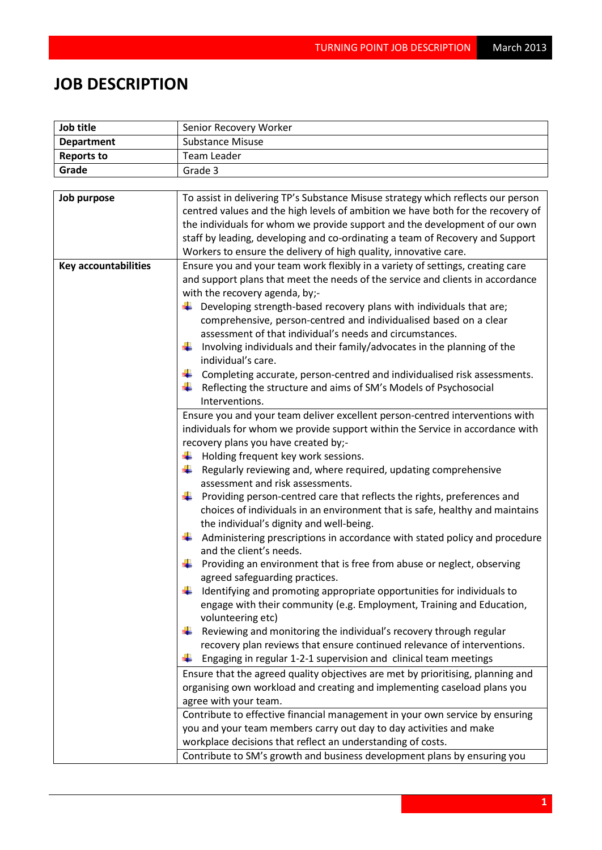## **JOB DESCRIPTION**

| Job title                   | Senior Recovery Worker                                                           |  |  |
|-----------------------------|----------------------------------------------------------------------------------|--|--|
| <b>Department</b>           | <b>Substance Misuse</b>                                                          |  |  |
| <b>Reports to</b>           | <b>Team Leader</b>                                                               |  |  |
| Grade                       | Grade 3                                                                          |  |  |
|                             |                                                                                  |  |  |
| Job purpose                 | To assist in delivering TP's Substance Misuse strategy which reflects our person |  |  |
|                             | centred values and the high levels of ambition we have both for the recovery of  |  |  |
|                             | the individuals for whom we provide support and the development of our own       |  |  |
|                             | staff by leading, developing and co-ordinating a team of Recovery and Support    |  |  |
|                             | Workers to ensure the delivery of high quality, innovative care.                 |  |  |
| <b>Key accountabilities</b> | Ensure you and your team work flexibly in a variety of settings, creating care   |  |  |
|                             | and support plans that meet the needs of the service and clients in accordance   |  |  |
|                             | with the recovery agenda, by;-                                                   |  |  |
|                             | Developing strength-based recovery plans with individuals that are;              |  |  |
|                             | comprehensive, person-centred and individualised based on a clear                |  |  |
|                             | assessment of that individual's needs and circumstances.                         |  |  |
|                             | Involving individuals and their family/advocates in the planning of the<br>÷     |  |  |
|                             | individual's care.                                                               |  |  |
|                             | Completing accurate, person-centred and individualised risk assessments.         |  |  |
|                             | Reflecting the structure and aims of SM's Models of Psychosocial                 |  |  |
|                             | Interventions.                                                                   |  |  |
|                             | Ensure you and your team deliver excellent person-centred interventions with     |  |  |
|                             | individuals for whom we provide support within the Service in accordance with    |  |  |
|                             | recovery plans you have created by;-                                             |  |  |
|                             | Holding frequent key work sessions.<br>÷                                         |  |  |
|                             | ₩<br>Regularly reviewing and, where required, updating comprehensive             |  |  |
|                             | assessment and risk assessments.                                                 |  |  |
|                             | Providing person-centred care that reflects the rights, preferences and<br>÷     |  |  |
|                             | choices of individuals in an environment that is safe, healthy and maintains     |  |  |
|                             | the individual's dignity and well-being.                                         |  |  |
|                             | Administering prescriptions in accordance with stated policy and procedure       |  |  |
|                             | and the client's needs.                                                          |  |  |
|                             | Providing an environment that is free from abuse or neglect, observing           |  |  |
|                             | agreed safeguarding practices.                                                   |  |  |
|                             | Identifying and promoting appropriate opportunities for individuals to           |  |  |
|                             | engage with their community (e.g. Employment, Training and Education,            |  |  |
|                             | volunteering etc)                                                                |  |  |
|                             | Reviewing and monitoring the individual's recovery through regular               |  |  |
|                             | recovery plan reviews that ensure continued relevance of interventions.          |  |  |
|                             | Engaging in regular 1-2-1 supervision and clinical team meetings                 |  |  |
|                             | Ensure that the agreed quality objectives are met by prioritising, planning and  |  |  |
|                             | organising own workload and creating and implementing caseload plans you         |  |  |
|                             | agree with your team.                                                            |  |  |
|                             | Contribute to effective financial management in your own service by ensuring     |  |  |
|                             | you and your team members carry out day to day activities and make               |  |  |
|                             | workplace decisions that reflect an understanding of costs.                      |  |  |
|                             | Contribute to SM's growth and business development plans by ensuring you         |  |  |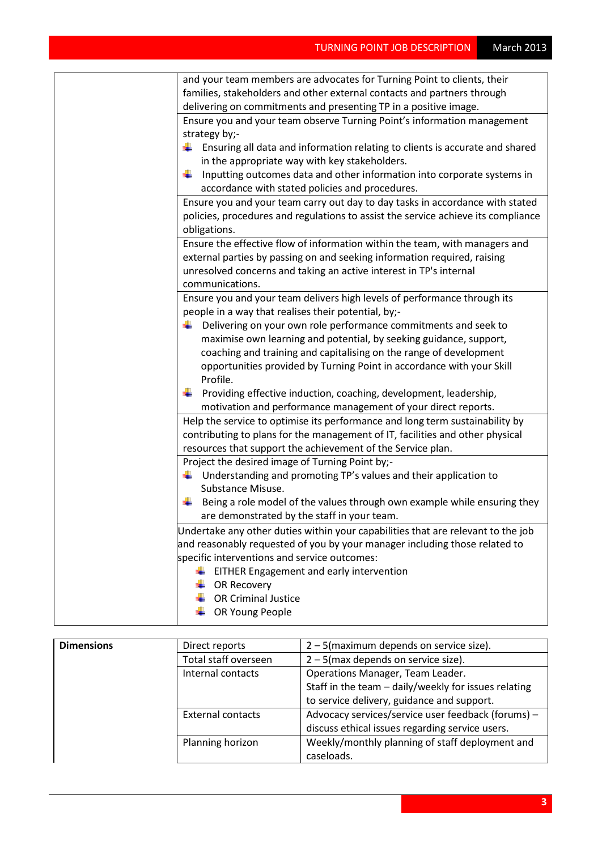| and your team members are advocates for Turning Point to clients, their           |
|-----------------------------------------------------------------------------------|
| families, stakeholders and other external contacts and partners through           |
| delivering on commitments and presenting TP in a positive image.                  |
| Ensure you and your team observe Turning Point's information management           |
| strategy by;-                                                                     |
| Ensuring all data and information relating to clients is accurate and shared      |
| in the appropriate way with key stakeholders.                                     |
| Inputting outcomes data and other information into corporate systems in<br>۰.     |
| accordance with stated policies and procedures.                                   |
| Ensure you and your team carry out day to day tasks in accordance with stated     |
| policies, procedures and regulations to assist the service achieve its compliance |
| obligations.                                                                      |
| Ensure the effective flow of information within the team, with managers and       |
| external parties by passing on and seeking information required, raising          |
| unresolved concerns and taking an active interest in TP's internal                |
| communications.                                                                   |
| Ensure you and your team delivers high levels of performance through its          |
| people in a way that realises their potential, by;-                               |
| Delivering on your own role performance commitments and seek to<br>÷              |
| maximise own learning and potential, by seeking guidance, support,                |
| coaching and training and capitalising on the range of development                |
| opportunities provided by Turning Point in accordance with your Skill             |
| Profile.                                                                          |
| Providing effective induction, coaching, development, leadership,<br>÷            |
| motivation and performance management of your direct reports.                     |
| Help the service to optimise its performance and long term sustainability by      |
| contributing to plans for the management of IT, facilities and other physical     |
| resources that support the achievement of the Service plan.                       |
| Project the desired image of Turning Point by;-                                   |
| $\downarrow$ Understanding and promoting TP's values and their application to     |
| Substance Misuse.                                                                 |
| Being a role model of the values through own example while ensuring they          |
| are demonstrated by the staff in your team.                                       |
| Undertake any other duties within your capabilities that are relevant to the job  |
| and reasonably requested of you by your manager including those related to        |
| specific interventions and service outcomes:                                      |
| EITHER Engagement and early intervention                                          |
| OR Recovery                                                                       |
| <b>OR Criminal Justice</b>                                                        |
| OR Young People                                                                   |
|                                                                                   |

| <b>Dimensions</b> | Direct reports           | $2 - 5$ (maximum depends on service size).           |
|-------------------|--------------------------|------------------------------------------------------|
|                   | Total staff overseen     | $2 - 5$ (max depends on service size).               |
| Internal contacts |                          | Operations Manager, Team Leader.                     |
|                   |                          | Staff in the team - daily/weekly for issues relating |
|                   |                          | to service delivery, guidance and support.           |
|                   | <b>External contacts</b> | Advocacy services/service user feedback (forums) -   |
|                   |                          | discuss ethical issues regarding service users.      |
|                   | Planning horizon         | Weekly/monthly planning of staff deployment and      |
|                   |                          | caseloads.                                           |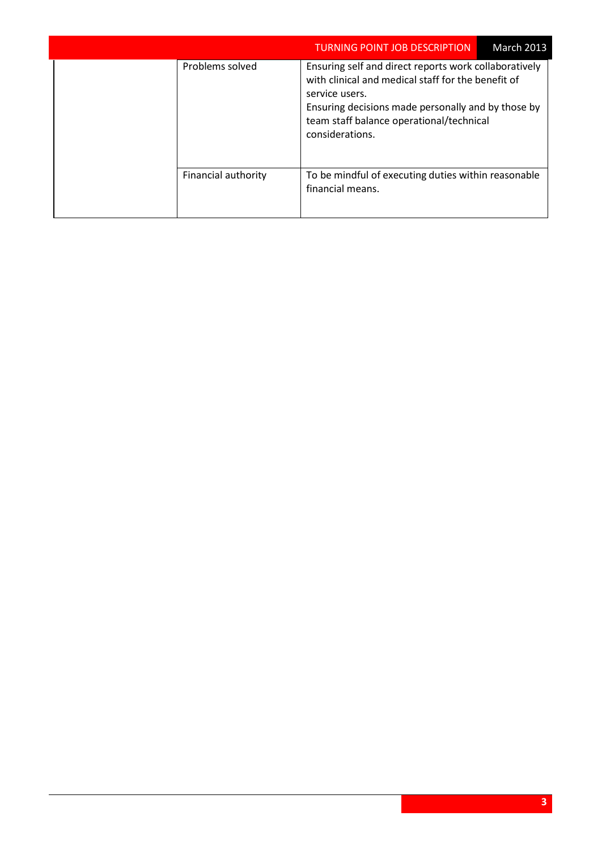|  |                     | <b>TURNING POINT JOB DESCRIPTION</b>                                                                                                                                                                                                               | <b>March 2013</b> |
|--|---------------------|----------------------------------------------------------------------------------------------------------------------------------------------------------------------------------------------------------------------------------------------------|-------------------|
|  | Problems solved     | Ensuring self and direct reports work collaboratively<br>with clinical and medical staff for the benefit of<br>service users.<br>Ensuring decisions made personally and by those by<br>team staff balance operational/technical<br>considerations. |                   |
|  | Financial authority | To be mindful of executing duties within reasonable<br>financial means.                                                                                                                                                                            |                   |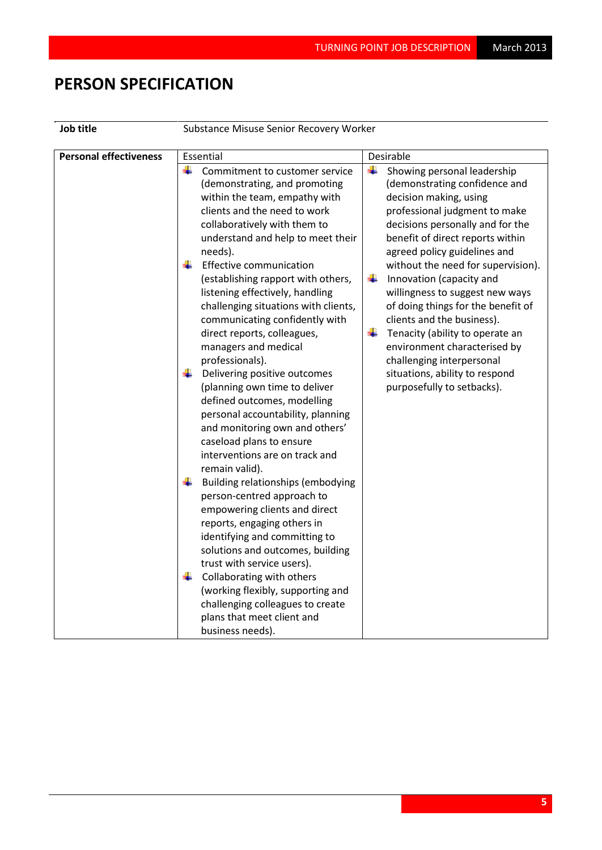## **PERSON SPECIFICATION**

| Job title |  |
|-----------|--|
|           |  |

**Le Substance Misuse Senior Recovery Worker** 

| <b>Personal effectiveness</b> | Essential                                                                                                                                                                                                                                                   | Desirable                                                                                                                                                                                                                                                                       |
|-------------------------------|-------------------------------------------------------------------------------------------------------------------------------------------------------------------------------------------------------------------------------------------------------------|---------------------------------------------------------------------------------------------------------------------------------------------------------------------------------------------------------------------------------------------------------------------------------|
|                               | ÷<br>Commitment to customer service<br>(demonstrating, and promoting<br>within the team, empathy with<br>clients and the need to work<br>collaboratively with them to<br>understand and help to meet their<br>needs).                                       | ÷<br>Showing personal leadership<br>(demonstrating confidence and<br>decision making, using<br>professional judgment to make<br>decisions personally and for the<br>benefit of direct reports within<br>agreed policy guidelines and                                            |
|                               | <b>Effective communication</b><br>(establishing rapport with others,<br>listening effectively, handling<br>challenging situations with clients,<br>communicating confidently with<br>direct reports, colleagues,<br>managers and medical<br>professionals). | without the need for supervision).<br>٠<br>Innovation (capacity and<br>willingness to suggest new ways<br>of doing things for the benefit of<br>clients and the business).<br>¥<br>Tenacity (ability to operate an<br>environment characterised by<br>challenging interpersonal |
|                               | Delivering positive outcomes<br>÷<br>(planning own time to deliver<br>defined outcomes, modelling<br>personal accountability, planning<br>and monitoring own and others'<br>caseload plans to ensure<br>interventions are on track and<br>remain valid).    | situations, ability to respond<br>purposefully to setbacks).                                                                                                                                                                                                                    |
|                               | Building relationships (embodying<br>÷<br>person-centred approach to<br>empowering clients and direct<br>reports, engaging others in<br>identifying and committing to<br>solutions and outcomes, building<br>trust with service users).                     |                                                                                                                                                                                                                                                                                 |
|                               | Collaborating with others<br>(working flexibly, supporting and<br>challenging colleagues to create<br>plans that meet client and<br>business needs).                                                                                                        |                                                                                                                                                                                                                                                                                 |